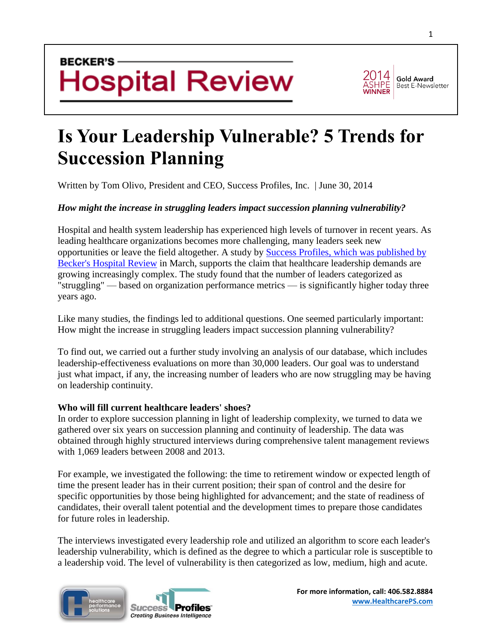## **BECKER'S Hospital Review**



#### **Gold Award Best E-Newsletter**

# **[Is Your Leadership Vulnerable? 5 Trends for](http://www.beckershospitalreview.com/hospital-management-administration/is-your-leadership-vulnerable-5-trends-for-succession-planning.html)  [Succession Planning](http://www.beckershospitalreview.com/hospital-management-administration/is-your-leadership-vulnerable-5-trends-for-succession-planning.html)**

Written by Tom Olivo, President and CEO, Success Profiles, Inc. | June 30, 2014

### *How might the increase in struggling leaders impact succession planning vulnerability?*

Hospital and health system leadership has experienced high levels of turnover in recent years. As leading healthcare organizations becomes more challenging, many leaders seek new opportunities or leave the field altogether. A study by [Success Profiles, which was published by](http://www.beckershospitalreview.com/leadership-management/the-profile-of-an-effective-healthcare-leader.html)  [Becker's Hospital Review](http://www.beckershospitalreview.com/leadership-management/the-profile-of-an-effective-healthcare-leader.html) in March, supports the claim that healthcare leadership demands are growing increasingly complex. The study found that the number of leaders categorized as "struggling" — based on organization performance metrics — is significantly higher today three years ago.

Like many studies, the findings led to additional questions. One seemed particularly important: How might the increase in struggling leaders impact succession planning vulnerability?

To find out, we carried out a further study involving an analysis of our database, which includes leadership-effectiveness evaluations on more than 30,000 leaders. Our goal was to understand just what impact, if any, the increasing number of leaders who are now struggling may be having on leadership continuity.

#### **Who will fill current healthcare leaders' shoes?**

In order to explore succession planning in light of leadership complexity, we turned to data we gathered over six years on succession planning and continuity of leadership. The data was obtained through highly structured interviews during comprehensive talent management reviews with 1,069 leaders between 2008 and 2013.

For example, we investigated the following: the time to retirement window or expected length of time the present leader has in their current position; their span of control and the desire for specific opportunities by those being highlighted for advancement; and the state of readiness of candidates, their overall talent potential and the development times to prepare those candidates for future roles in leadership.

The interviews investigated every leadership role and utilized an algorithm to score each leader's leadership vulnerability, which is defined as the degree to which a particular role is susceptible to a leadership void. The level of vulnerability is then categorized as low, medium, high and acute.

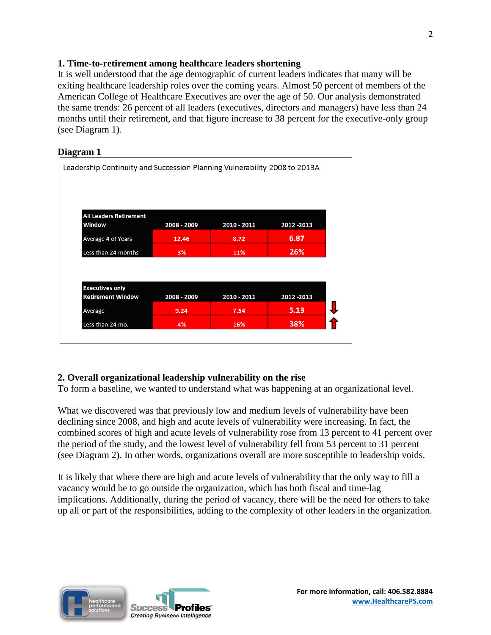#### **1. Time-to-retirement among healthcare leaders shortening**

It is well understood that the age demographic of current leaders indicates that many will be exiting healthcare leadership roles over the coming years. Almost 50 percent of members of the American College of Healthcare Executives are over the age of 50. Our analysis demonstrated the same trends: 26 percent of all leaders (executives, directors and managers) have less than 24 months until their retirement, and that figure increase to 38 percent for the executive-only group (see Diagram 1).

#### **Diagram 1**

| <b>All Leaders Retirement</b>                      |             |             |             |
|----------------------------------------------------|-------------|-------------|-------------|
| <b>Window</b>                                      | 2008 - 2009 | 2010 - 2011 | 2012 - 2013 |
| Average # of Years                                 | 12.46       | 8.72        | 6.87        |
| Less than 24 months                                | 3%          | 11%         | 26%         |
|                                                    |             |             |             |
|                                                    |             |             |             |
| <b>Executives only</b><br><b>Retirement Window</b> | 2008 - 2009 | 2010 - 2011 | 2012 - 2013 |
| Average                                            | 9.24        | 7.54        | 5.13        |
| Less than 24 mo.                                   | 4%          | 16%         | 38%         |

### **2. Overall organizational leadership vulnerability on the rise**

To form a baseline, we wanted to understand what was happening at an organizational level.

What we discovered was that previously low and medium levels of vulnerability have been declining since 2008, and high and acute levels of vulnerability were increasing. In fact, the combined scores of high and acute levels of vulnerability rose from 13 percent to 41 percent over the period of the study, and the lowest level of vulnerability fell from 53 percent to 31 percent (see Diagram 2). In other words, organizations overall are more susceptible to leadership voids.

It is likely that where there are high and acute levels of vulnerability that the only way to fill a vacancy would be to go outside the organization, which has both fiscal and time-lag implications. Additionally, during the period of vacancy, there will be the need for others to take up all or part of the responsibilities, adding to the complexity of other leaders in the organization.

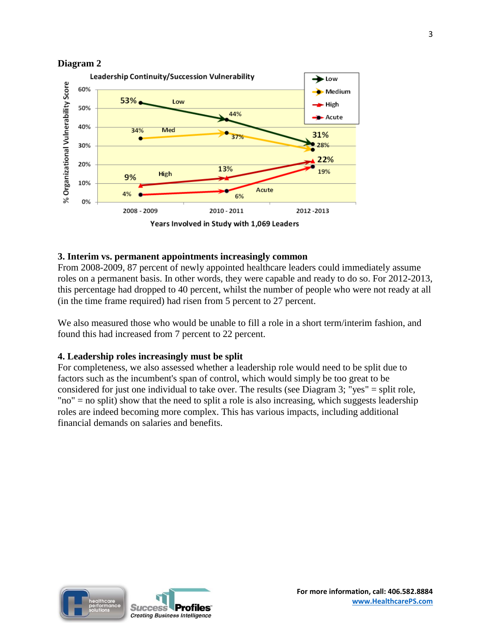



#### **3. Interim vs. permanent appointments increasingly common**

From 2008-2009, 87 percent of newly appointed healthcare leaders could immediately assume roles on a permanent basis. In other words, they were capable and ready to do so. For 2012-2013, this percentage had dropped to 40 percent, whilst the number of people who were not ready at all (in the time frame required) had risen from 5 percent to 27 percent.

We also measured those who would be unable to fill a role in a short term/interim fashion, and found this had increased from 7 percent to 22 percent.

#### **4. Leadership roles increasingly must be split**

For completeness, we also assessed whether a leadership role would need to be split due to factors such as the incumbent's span of control, which would simply be too great to be considered for just one individual to take over. The results (see Diagram 3; "yes" = split role, "no" = no split) show that the need to split a role is also increasing, which suggests leadership roles are indeed becoming more complex. This has various impacts, including additional financial demands on salaries and benefits.

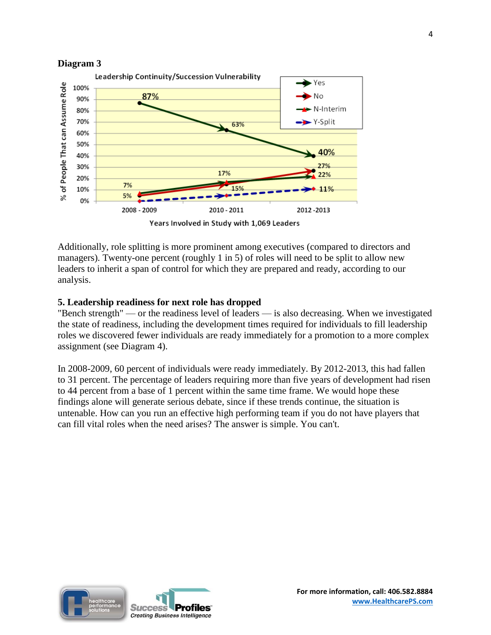



Additionally, role splitting is more prominent among executives (compared to directors and managers). Twenty-one percent (roughly 1 in 5) of roles will need to be split to allow new leaders to inherit a span of control for which they are prepared and ready, according to our analysis.

### **5. Leadership readiness for next role has dropped**

"Bench strength" — or the readiness level of leaders — is also decreasing. When we investigated the state of readiness, including the development times required for individuals to fill leadership roles we discovered fewer individuals are ready immediately for a promotion to a more complex assignment (see Diagram 4).

In 2008-2009, 60 percent of individuals were ready immediately. By 2012-2013, this had fallen to 31 percent. The percentage of leaders requiring more than five years of development had risen to 44 percent from a base of 1 percent within the same time frame. We would hope these findings alone will generate serious debate, since if these trends continue, the situation is untenable. How can you run an effective high performing team if you do not have players that can fill vital roles when the need arises? The answer is simple. You can't.

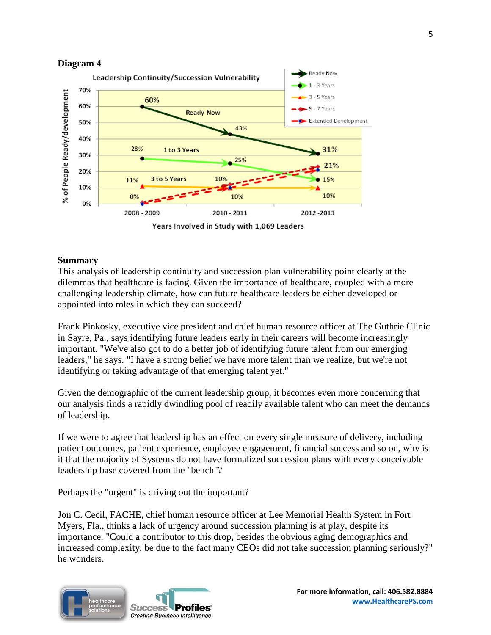



#### **Summary**

This analysis of leadership continuity and succession plan vulnerability point clearly at the dilemmas that healthcare is facing. Given the importance of healthcare, coupled with a more challenging leadership climate, how can future healthcare leaders be either developed or appointed into roles in which they can succeed?

Frank Pinkosky, executive vice president and chief human resource officer at The Guthrie Clinic in Sayre, Pa., says identifying future leaders early in their careers will become increasingly important. "We've also got to do a better job of identifying future talent from our emerging leaders," he says. "I have a strong belief we have more talent than we realize, but we're not identifying or taking advantage of that emerging talent yet."

Given the demographic of the current leadership group, it becomes even more concerning that our analysis finds a rapidly dwindling pool of readily available talent who can meet the demands of leadership.

If we were to agree that leadership has an effect on every single measure of delivery, including patient outcomes, patient experience, employee engagement, financial success and so on, why is it that the majority of Systems do not have formalized succession plans with every conceivable leadership base covered from the "bench"?

Perhaps the "urgent" is driving out the important?

Jon C. Cecil, FACHE, chief human resource officer at Lee Memorial Health System in Fort Myers, Fla., thinks a lack of urgency around succession planning is at play, despite its importance. "Could a contributor to this drop, besides the obvious aging demographics and increased complexity, be due to the fact many CEOs did not take succession planning seriously?" he wonders.